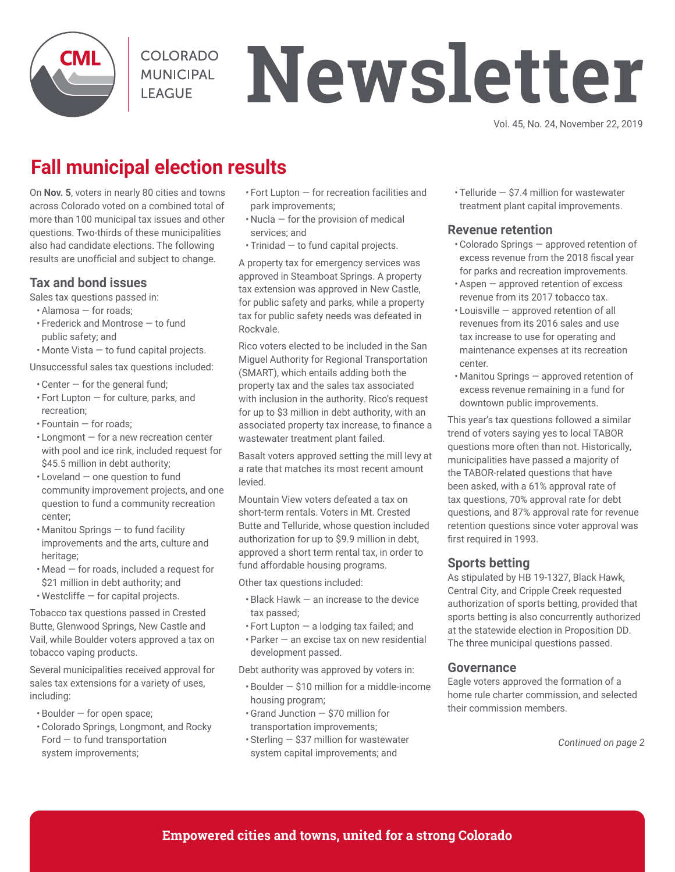

**COLORADO MUNICIPAL I FAGUE** 

# **Newsletter**

Vol. 45, No. 24, November 22, 2019

## **Fall municipal election results**

On **Nov. 5**, voters in nearly 80 cities and towns across Colorado voted on a combined total of more than 100 municipal tax issues and other questions. Two-thirds of these municipalities also had candidate elections. The following results are unofficial and subject to change.

#### **Tax and bond issues**

Sales tax questions passed in:

- Alamosa for roads;
- Frederick and Montrose to fund public safety; and
- Monte Vista to fund capital projects.

Unsuccessful sales tax questions included:

- $\cdot$  Center  $-$  for the general fund;
- Fort Lupton for culture, parks, and recreation;
- Fountain for roads;
- Longmont for a new recreation center with pool and ice rink, included request for \$45.5 million in debt authority;
- Loveland one question to fund community improvement projects, and one question to fund a community recreation center;
- Manitou Springs to fund facility improvements and the arts, culture and heritage;
- Mead for roads, included a request for \$21 million in debt authority; and
- $\cdot$  Westcliffe  $-$  for capital projects.

Tobacco tax questions passed in Crested Butte, Glenwood Springs, New Castle and Vail, while Boulder voters approved a tax on tobacco vaping products.

Several municipalities received approval for sales tax extensions for a variety of uses, including:

- Boulder for open space;
- Colorado Springs, Longmont, and Rocky Ford — to fund transportation system improvements;
- Fort Lupton for recreation facilities and park improvements;
- Nucla for the provision of medical services; and
- Trinidad to fund capital projects.

A property tax for emergency services was approved in Steamboat Springs. A property tax extension was approved in New Castle, for public safety and parks, while a property tax for public safety needs was defeated in Rockvale.

Rico voters elected to be included in the San Miguel Authority for Regional Transportation (SMART), which entails adding both the property tax and the sales tax associated with inclusion in the authority. Rico's request for up to \$3 million in debt authority, with an associated property tax increase, to finance a wastewater treatment plant failed.

Basalt voters approved setting the mill levy at a rate that matches its most recent amount levied.

Mountain View voters defeated a tax on short-term rentals. Voters in Mt. Crested Butte and Telluride, whose question included authorization for up to \$9.9 million in debt, approved a short term rental tax, in order to fund affordable housing programs.

Other tax questions included:

- Black Hawk an increase to the device tax passed;
- Fort Lupton a lodging tax failed; and
- Parker an excise tax on new residential development passed.

Debt authority was approved by voters in:

- Boulder \$10 million for a middle-income housing program;
- Grand Junction \$70 million for transportation improvements;
- Sterling \$37 million for wastewater system capital improvements; and

• Telluride — \$7.4 million for wastewater treatment plant capital improvements.

#### **Revenue retention**

- Colorado Springs approved retention of excess revenue from the 2018 fiscal year for parks and recreation improvements.
- Aspen approved retention of excess revenue from its 2017 tobacco tax.
- Louisville approved retention of all revenues from its 2016 sales and use tax increase to use for operating and maintenance expenses at its recreation center.
- Manitou Springs approved retention of excess revenue remaining in a fund for downtown public improvements.

This year's tax questions followed a similar trend of voters saying yes to local TABOR questions more often than not. Historically, municipalities have passed a majority of the TABOR-related questions that have been asked, with a 61% approval rate of tax questions, 70% approval rate for debt questions, and 87% approval rate for revenue retention questions since voter approval was first required in 1993.

#### **Sports betting**

As stipulated by HB 19-1327, Black Hawk, Central City, and Cripple Creek requested authorization of sports betting, provided that sports betting is also concurrently authorized at the statewide election in Proposition DD. The three municipal questions passed.

#### **Governance**

Eagle voters approved the formation of a home rule charter commission, and selected their commission members.

*Continued on page 2*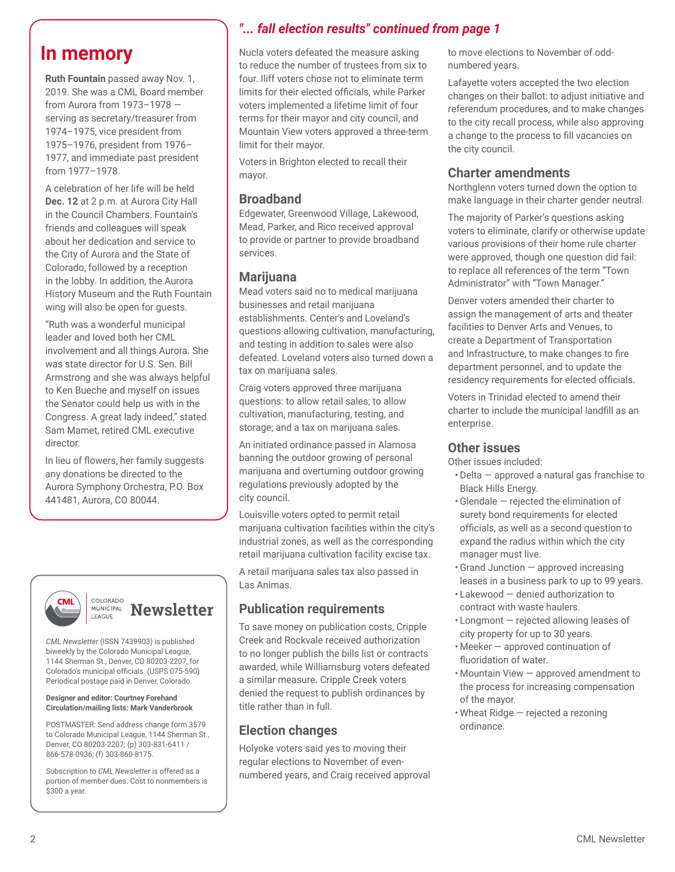**Ruth Fountain** passed away Nov. 1, 2019. She was a CML Board member from Aurora from 1973–1978 serving as secretary/treasurer from 1974–1975, vice president from 1975–1976, president from 1976– 1977, and immediate past president from 1977–1978.

A celebration of her life will be held **Dec. 12** at 2 p.m. at Aurora City Hall in the Council Chambers. Fountain's friends and colleagues will speak about her dedication and service to the City of Aurora and the State of Colorado, followed by a reception in the lobby. In addition, the Aurora History Museum and the Ruth Fountain wing will also be open for guests.

"Ruth was a wonderful municipal leader and loved both her CML involvement and all things Aurora. She was state director for U.S. Sen. Bill Armstrong and she was always helpful to Ken Bueche and myself on issues the Senator could help us with in the Congress. A great lady indeed," stated Sam Mamet, retired CML executive director.

In lieu of flowers, her family suggests any donations be directed to the Aurora Symphony Orchestra, P.O. Box 441481, Aurora, CO 80044.



#### COLORADO **MUNICIPAL Newsletter** LEAGUE

*CML Newsletter* (ISSN 7439903) is published biweekly by the Colorado Municipal League, 1144 Sherman St., Denver, CO 80203-2207, for Colorado's municipal officials. (USPS 075-590) Periodical postage paid in Denver, Colorado.

#### **Designer and editor: Courtney Forehand Circulation/mailing lists: Mark Vanderbrook**

POSTMASTER: Send address change form 3579 to Colorado Municipal League, 1144 Sherman St., Denver, CO 80203-2207; (p) 303-831-6411 / 866-578-0936; (f) 303-860-8175.

Subscription to *CML Newsletter* is offered as a portion of member dues. Cost to nonmembers is \$300 a year.

### *"... fall election results" continued from page 1*

**In memory** Nucla voters defeated the measure asking to reduce the number of trustees from six to four. Iliff voters chose not to eliminate term limits for their elected officials, while Parker voters implemented a lifetime limit of four terms for their mayor and city council, and Mountain View voters approved a three-term limit for their mayor.

> Voters in Brighton elected to recall their mayor.

#### **Broadband**

Edgewater, Greenwood Village, Lakewood, Mead, Parker, and Rico received approval to provide or partner to provide broadband services.

#### **Marijuana**

Mead voters said no to medical marijuana businesses and retail marijuana establishments. Center's and Loveland's questions allowing cultivation, manufacturing, and testing in addition to sales were also defeated. Loveland voters also turned down a tax on marijuana sales.

Craig voters approved three marijuana questions: to allow retail sales; to allow cultivation, manufacturing, testing, and storage; and a tax on marijuana sales.

An initiated ordinance passed in Alamosa banning the outdoor growing of personal marijuana and overturning outdoor growing regulations previously adopted by the city council.

Louisville voters opted to permit retail marijuana cultivation facilities within the city's industrial zones, as well as the corresponding retail marijuana cultivation facility excise tax.

A retail marijuana sales tax also passed in Las Animas.

#### **Publication requirements**

To save money on publication costs, Cripple Creek and Rockvale received authorization to no longer publish the bills list or contracts awarded, while Williamsburg voters defeated a similar measure. Cripple Creek voters denied the request to publish ordinances by title rather than in full.

#### **Election changes**

Holyoke voters said yes to moving their regular elections to November of evennumbered years, and Craig received approval

to move elections to November of oddnumbered years.

Lafayette voters accepted the two election changes on their ballot: to adjust initiative and referendum procedures, and to make changes to the city recall process, while also approving a change to the process to fill vacancies on the city council.

#### **Charter amendments**

Northglenn voters turned down the option to make language in their charter gender neutral.

The majority of Parker's questions asking voters to eliminate, clarify or otherwise update various provisions of their home rule charter were approved, though one question did fail: to replace all references of the term "Town Administrator" with "Town Manager."

Denver voters amended their charter to assign the management of arts and theater facilities to Denver Arts and Venues, to create a Department of Transportation and Infrastructure, to make changes to fire department personnel, and to update the residency requirements for elected officials.

Voters in Trinidad elected to amend their charter to include the municipal landfill as an enterprise.

#### **Other issues**

Other issues included:

- Delta approved a natural gas franchise to Black Hills Energy.
- Glendale rejected the elimination of surety bond requirements for elected officials, as well as a second question to expand the radius within which the city manager must live.
- Grand Junction approved increasing leases in a business park to up to 99 years.
- Lakewood denied authorization to contract with waste haulers.
- Longmont rejected allowing leases of city property for up to 30 years.
- Meeker approved continuation of fluoridation of water.
- Mountain View approved amendment to the process for increasing compensation of the mayor.
- Wheat Ridge rejected a rezoning ordinance.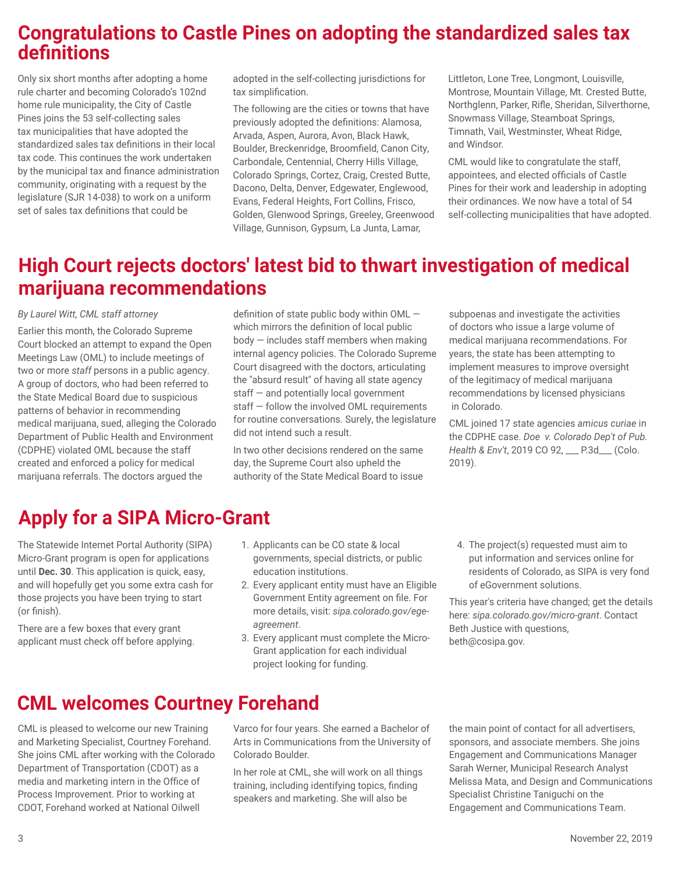## **Congratulations to Castle Pines on adopting the standardized sales tax definitions**

Only six short months after adopting a home rule charter and becoming Colorado's 102nd home rule municipality, the City of Castle Pines joins the 53 self-collecting sales tax municipalities that have adopted the standardized sales tax definitions in their local tax code. This continues the work undertaken by the municipal tax and finance administration community, originating with a request by the legislature (SJR 14-038) to work on a uniform set of sales tax definitions that could be

adopted in the self-collecting jurisdictions for tax simplification.

The following are the cities or towns that have previously adopted the definitions: Alamosa, Arvada, Aspen, Aurora, Avon, Black Hawk, Boulder, Breckenridge, Broomfield, Canon City, Carbondale, Centennial, Cherry Hills Village, Colorado Springs, Cortez, Craig, Crested Butte, Dacono, Delta, Denver, Edgewater, Englewood, Evans, Federal Heights, Fort Collins, Frisco, Golden, Glenwood Springs, Greeley, Greenwood Village, Gunnison, Gypsum, La Junta, Lamar,

Littleton, Lone Tree, Longmont, Louisville, Montrose, Mountain Village, Mt. Crested Butte, Northglenn, Parker, Rifle, Sheridan, Silverthorne, Snowmass Village, Steamboat Springs, Timnath, Vail, Westminster, Wheat Ridge, and Windsor.

CML would like to congratulate the staff, appointees, and elected officials of Castle Pines for their work and leadership in adopting their ordinances. We now have a total of 54 self-collecting municipalities that have adopted.

## **High Court rejects doctors' latest bid to thwart investigation of medical marijuana recommendations**

#### *By Laurel Witt, CML staff attorney*

Earlier this month, the Colorado Supreme Court blocked an attempt to expand the Open Meetings Law (OML) to include meetings of two or more *staff* persons in a public agency. A group of doctors, who had been referred to the State Medical Board due to suspicious patterns of behavior in recommending medical marijuana, sued, alleging the Colorado Department of Public Health and Environment (CDPHE) violated OML because the staff created and enforced a policy for medical marijuana referrals. The doctors argued the

definition of state public body within OML which mirrors the definition of local public body — includes staff members when making internal agency policies. The Colorado Supreme Court disagreed with the doctors, articulating the "absurd result" of having all state agency staff — and potentially local government staff — follow the involved OML requirements for routine conversations. Surely, the legislature did not intend such a result.

In two other decisions rendered on the same day, the Supreme Court also upheld the authority of the State Medical Board to issue

subpoenas and investigate the activities of doctors who issue a large volume of medical marijuana recommendations. For years, the state has been attempting to implement measures to improve oversight of the legitimacy of medical marijuana recommendations by licensed physicians in Colorado.

CML joined 17 state agencies *amicus curiae* in the CDPHE case. *Doe v. Colorado Dep't of Pub. Health & Env't*, 2019 CO 92, \_\_\_ P.3d\_\_\_ (Colo. 2019).

## **Apply for a SIPA Micro-Grant**

The Statewide Internet Portal Authority (SIPA) Micro-Grant program is open for applications until **Dec. 30**. This application is quick, easy, and will hopefully get you some extra cash for those projects you have been trying to start (or finish).

There are a few boxes that every grant applicant must check off before applying.

- 1. Applicants can be CO state & local governments, special districts, or public education institutions.
- 2. Every applicant entity must have an Eligible Government Entity agreement on file. For more details, visit: *sipa.colorado.gov/egeagreement*.
- 3. Every applicant must complete the Micro-Grant application for each individual project looking for funding.
- 4. The project(s) requested must aim to put information and services online for residents of Colorado, as SIPA is very fond of eGovernment solutions.

This year's criteria have changed; get the details here: *sipa.colorado.gov/micro-grant*. Contact Beth Justice with questions, beth@cosipa.gov.

## **CML welcomes Courtney Forehand**

CML is pleased to welcome our new Training and Marketing Specialist, Courtney Forehand. She joins CML after working with the Colorado Department of Transportation (CDOT) as a media and marketing intern in the Office of Process Improvement. Prior to working at CDOT, Forehand worked at National Oilwell

Varco for four years. She earned a Bachelor of Arts in Communications from the University of Colorado Boulder.

In her role at CML, she will work on all things training, including identifying topics, finding speakers and marketing. She will also be

the main point of contact for all advertisers, sponsors, and associate members. She joins Engagement and Communications Manager Sarah Werner, Municipal Research Analyst Melissa Mata, and Design and Communications Specialist Christine Taniguchi on the Engagement and Communications Team.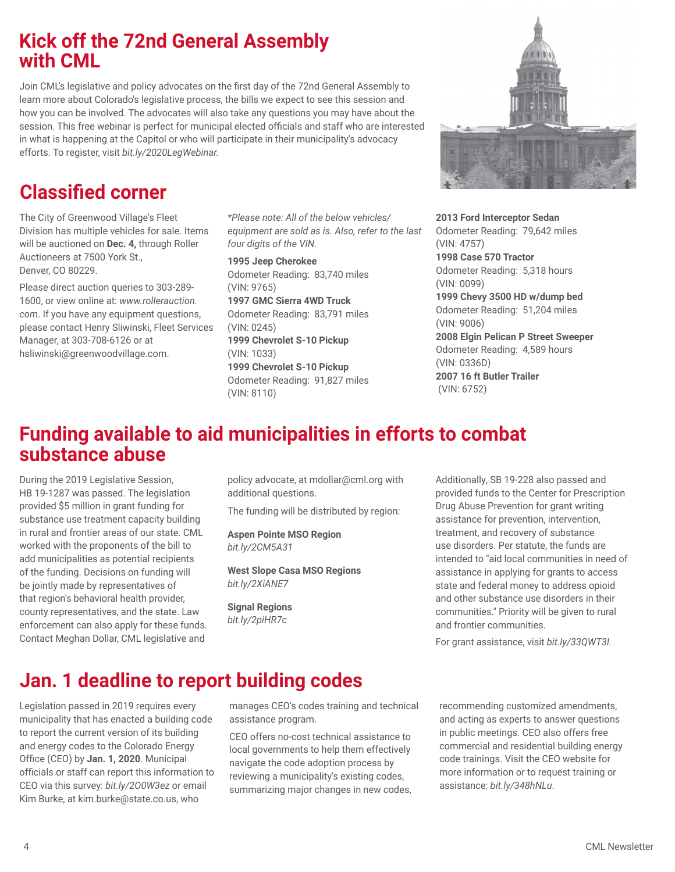## **Kick off the 72nd General Assembly with CML**

Join CML's legislative and policy advocates on the first day of the 72nd General Assembly to learn more about Colorado's legislative process, the bills we expect to see this session and how you can be involved. The advocates will also take any questions you may have about the session. This free webinar is perfect for municipal elected officials and staff who are interested in what is happening at the Capitol or who will participate in their municipality's advocacy efforts. To register, visit *bit.ly/2020LegWebinar.*

## **Classified corner**

The City of Greenwood Village's Fleet Division has multiple vehicles for sale. Items will be auctioned on **Dec. 4,** through Roller Auctioneers at 7500 York St., Denver, CO 80229.

Please direct auction queries to 303-289- 1600, or view online at: *www.rollerauction. com*. If you have any equipment questions, please contact Henry Sliwinski, Fleet Services Manager, at 303-708-6126 or at hsliwinski@greenwoodvillage.com.

*\*Please note: All of the below vehicles/ equipment are sold as is. Also, refer to the last four digits of the VIN.*

**1995 Jeep Cherokee** Odometer Reading: 83,740 miles (VIN: 9765) **1997 GMC Sierra 4WD Truck** Odometer Reading: 83,791 miles (VIN: 0245) **1999 Chevrolet S-10 Pickup** (VIN: 1033) **1999 Chevrolet S-10 Pickup** Odometer Reading: 91,827 miles (VIN: 8110)



**2013 Ford Interceptor Sedan** Odometer Reading: 79,642 miles (VIN: 4757) **1998 Case 570 Tractor** Odometer Reading: 5,318 hours (VIN: 0099) **1999 Chevy 3500 HD w/dump bed** Odometer Reading: 51,204 miles (VIN: 9006) **2008 Elgin Pelican P Street Sweeper** Odometer Reading: 4,589 hours (VIN: 0336D) **2007 16 ft Butler Trailer** (VIN: 6752)

## **Funding available to aid municipalities in efforts to combat substance abuse**

During the 2019 Legislative Session, HB 19-1287 was passed. The legislation provided \$5 million in grant funding for substance use treatment capacity building in rural and frontier areas of our state. CML worked with the proponents of the bill to add municipalities as potential recipients of the funding. Decisions on funding will be jointly made by representatives of that region's behavioral health provider, county representatives, and the state. Law enforcement can also apply for these funds. Contact Meghan Dollar, CML legislative and

policy advocate, at mdollar@cml.org with additional questions.

The funding will be distributed by region:

**Aspen Pointe MSO Region** *bit.ly/2CM5A31*

**West Slope Casa MSO Regions** *bit.ly/2XiANE7*

**Signal Regions** *bit.ly/2piHR7c*

Additionally, SB 19-228 also passed and provided funds to the Center for Prescription Drug Abuse Prevention for grant writing assistance for prevention, intervention, treatment, and recovery of substance use disorders. Per statute, the funds are intended to "aid local communities in need of assistance in applying for grants to access state and federal money to address opioid and other substance use disorders in their communities." Priority will be given to rural and frontier communities.

For grant assistance, visit *bit.ly/33QWT3l.*

## **Jan. 1 deadline to report building codes**

Legislation passed in 2019 requires every municipality that has enacted a building code to report the current version of its building and energy codes to the Colorado Energy Office (CEO) by **Jan. 1, 2020**. Municipal officials or staff can report this information to CEO via this survey: *bit.ly/2O0W3ez* or email Kim Burke, at kim.burke@state.co.us, who

manages CEO's codes training and technical assistance program.

CEO offers no-cost technical assistance to local governments to help them effectively navigate the code adoption process by reviewing a municipality's existing codes, summarizing major changes in new codes,

recommending customized amendments, and acting as experts to answer questions in public meetings. CEO also offers free commercial and residential building energy code trainings. Visit the CEO website for more information or to request training or assistance: *bit.ly/348hNLu*.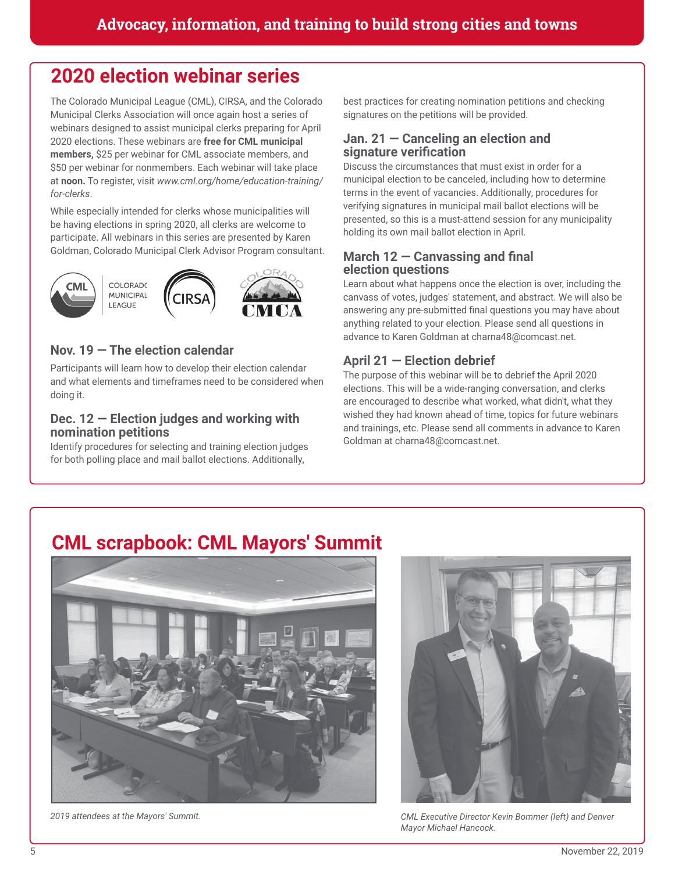## **2020 election webinar series**

The Colorado Municipal League (CML), CIRSA, and the Colorado Municipal Clerks Association will once again host a series of webinars designed to assist municipal clerks preparing for April 2020 elections. These webinars are **free for CML municipal members,** \$25 per webinar for CML associate members, and \$50 per webinar for nonmembers. Each webinar will take place at **noon.** To register, visit *www.cml.org/home/education-training/ for-clerks*.

While especially intended for clerks whose municipalities will be having elections in spring 2020, all clerks are welcome to participate. All webinars in this series are presented by Karen Goldman, Colorado Municipal Clerk Advisor Program consultant.



#### **Nov. 19 — The election calendar**

Participants will learn how to develop their election calendar and what elements and timeframes need to be considered when doing it.

#### **Dec. 12 — Election judges and working with nomination petitions**

Identify procedures for selecting and training election judges for both polling place and mail ballot elections. Additionally,

best practices for creating nomination petitions and checking signatures on the petitions will be provided.

#### **Jan. 21 — Canceling an election and signature verification**

Discuss the circumstances that must exist in order for a municipal election to be canceled, including how to determine terms in the event of vacancies. Additionally, procedures for verifying signatures in municipal mail ballot elections will be presented, so this is a must-attend session for any municipality holding its own mail ballot election in April.

#### **March 12 — Canvassing and final election questions**

Learn about what happens once the election is over, including the canvass of votes, judges' statement, and abstract. We will also be answering any pre-submitted final questions you may have about anything related to your election. Please send all questions in advance to Karen Goldman at charna48@comcast.net.

#### **April 21 — Election debrief**

The purpose of this webinar will be to debrief the April 2020 elections. This will be a wide-ranging conversation, and clerks are encouraged to describe what worked, what didn't, what they wished they had known ahead of time, topics for future webinars and trainings, etc. Please send all comments in advance to Karen Goldman at charna48@comcast.net.

## **CML scrapbook: CML Mayors' Summit**





*2019 attendees at the Mayors' Summit. CML Executive Director Kevin Bommer (left) and Denver Mayor Michael Hancock.*